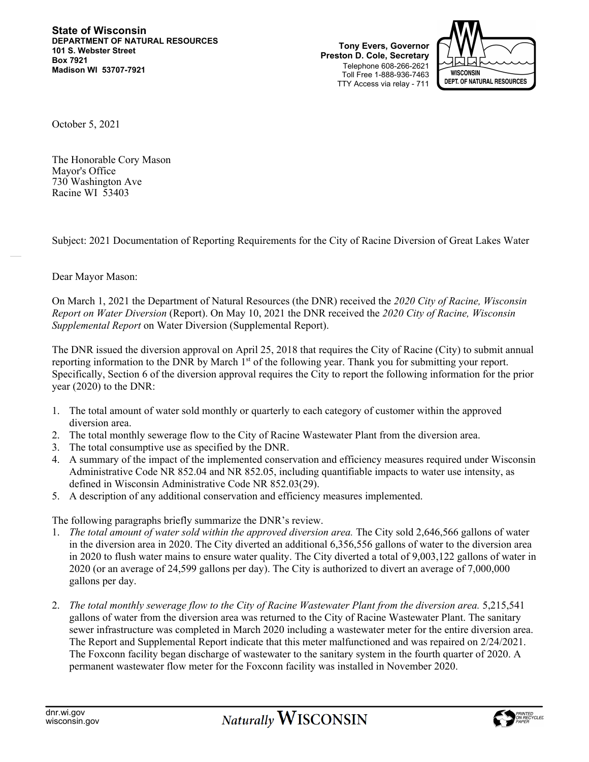**State of Wisconsin DEPARTMENT OF NATURAL RESOURCES 101 S. Webster Street Box 7921 Madison WI 53707-7921** 

**Tony Evers, Governor Preston D. Cole, Secretary**  Telephone 608-266-2621 Toll Free 1-888-936-7463 TTY Access via relay - 711



October 5, 2021

The Honorable Cory Mason Mayor's Office 730 Washington Ave Racine WI 53403

Subject: 2021 Documentation of Reporting Requirements for the City of Racine Diversion of Great Lakes Water

## Dear Mayor Mason:

On March 1, 2021 the Department of Natural Resources (the DNR) received the *2020 City of Racine, Wisconsin Report on Water Diversion* (Report). On May 10, 2021 the DNR received the *2020 City of Racine, Wisconsin Supplemental Report* on Water Diversion (Supplemental Report).

The DNR issued the diversion approval on April 25, 2018 that requires the City of Racine (City) to submit annual reporting information to the DNR by March  $1<sup>st</sup>$  of the following year. Thank you for submitting your report. Specifically, Section 6 of the diversion approval requires the City to report the following information for the prior year (2020) to the DNR:

- 1. The total amount of water sold monthly or quarterly to each category of customer within the approved diversion area.
- 2. The total monthly sewerage flow to the City of Racine Wastewater Plant from the diversion area.
- 3. The total consumptive use as specified by the DNR.
- 4. A summary of the impact of the implemented conservation and efficiency measures required under Wisconsin Administrative Code NR 852.04 and NR 852.05, including quantifiable impacts to water use intensity, as defined in Wisconsin Administrative Code NR 852.03(29).
- 5. A description of any additional conservation and efficiency measures implemented.

The following paragraphs briefly summarize the DNR's review.

- 1. *The total amount of water sold within the approved diversion area.* The City sold 2,646,566 gallons of water in the diversion area in 2020. The City diverted an additional 6,356,556 gallons of water to the diversion area in 2020 to flush water mains to ensure water quality. The City diverted a total of 9,003,122 gallons of water in 2020 (or an average of 24,599 gallons per day). The City is authorized to divert an average of 7,000,000 gallons per day.
- 2. *The total monthly sewerage flow to the City of Racine Wastewater Plant from the diversion area.* 5,215,541 gallons of water from the diversion area was returned to the City of Racine Wastewater Plant. The sanitary sewer infrastructure was completed in March 2020 including a wastewater meter for the entire diversion area. The Report and Supplemental Report indicate that this meter malfunctioned and was repaired on 2/24/2021. The Foxconn facility began discharge of wastewater to the sanitary system in the fourth quarter of 2020. A permanent wastewater flow meter for the Foxconn facility was installed in November 2020.

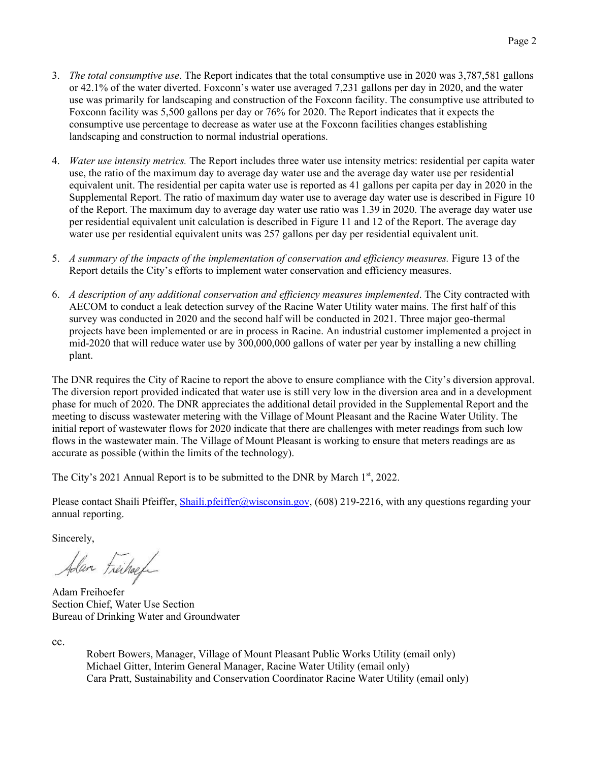- 3. *The total consumptive use*. The Report indicates that the total consumptive use in 2020 was 3,787,581 gallons or 42.1% of the water diverted. Foxconn's water use averaged 7,231 gallons per day in 2020, and the water use was primarily for landscaping and construction of the Foxconn facility. The consumptive use attributed to Foxconn facility was 5,500 gallons per day or 76% for 2020. The Report indicates that it expects the consumptive use percentage to decrease as water use at the Foxconn facilities changes establishing landscaping and construction to normal industrial operations.
- 4. *Water use intensity metrics.* The Report includes three water use intensity metrics: residential per capita water use, the ratio of the maximum day to average day water use and the average day water use per residential equivalent unit. The residential per capita water use is reported as 41 gallons per capita per day in 2020 in the Supplemental Report. The ratio of maximum day water use to average day water use is described in Figure 10 of the Report. The maximum day to average day water use ratio was 1.39 in 2020. The average day water use per residential equivalent unit calculation is described in Figure 11 and 12 of the Report. The average day water use per residential equivalent units was 257 gallons per day per residential equivalent unit.
- 5. *A summary of the impacts of the implementation of conservation and efficiency measures.* Figure 13 of the Report details the City's efforts to implement water conservation and efficiency measures.
- 6. *A description of any additional conservation and efficiency measures implemented*. The City contracted with AECOM to conduct a leak detection survey of the Racine Water Utility water mains. The first half of this survey was conducted in 2020 and the second half will be conducted in 2021. Three major geo-thermal projects have been implemented or are in process in Racine. An industrial customer implemented a project in mid-2020 that will reduce water use by 300,000,000 gallons of water per year by installing a new chilling plant.

The DNR requires the City of Racine to report the above to ensure compliance with the City's diversion approval. The diversion report provided indicated that water use is still very low in the diversion area and in a development phase for much of 2020. The DNR appreciates the additional detail provided in the Supplemental Report and the meeting to discuss wastewater metering with the Village of Mount Pleasant and the Racine Water Utility. The initial report of wastewater flows for 2020 indicate that there are challenges with meter readings from such low flows in the wastewater main. The Village of Mount Pleasant is working to ensure that meters readings are as accurate as possible (within the limits of the technology).

The City's 2021 Annual Report is to be submitted to the DNR by March 1<sup>st</sup>, 2022.

Please contact Shaili Pfeiffer, Shaili.pfeiffer@wisconsin.gov, (608) 219-2216, with any questions regarding your annual reporting.

Sincerely,

Alan Freihoef

Adam Freihoefer Section Chief, Water Use Section Bureau of Drinking Water and Groundwater

cc.

Robert Bowers, Manager, Village of Mount Pleasant Public Works Utility (email only) Michael Gitter, Interim General Manager, Racine Water Utility (email only) Cara Pratt, Sustainability and Conservation Coordinator Racine Water Utility (email only)